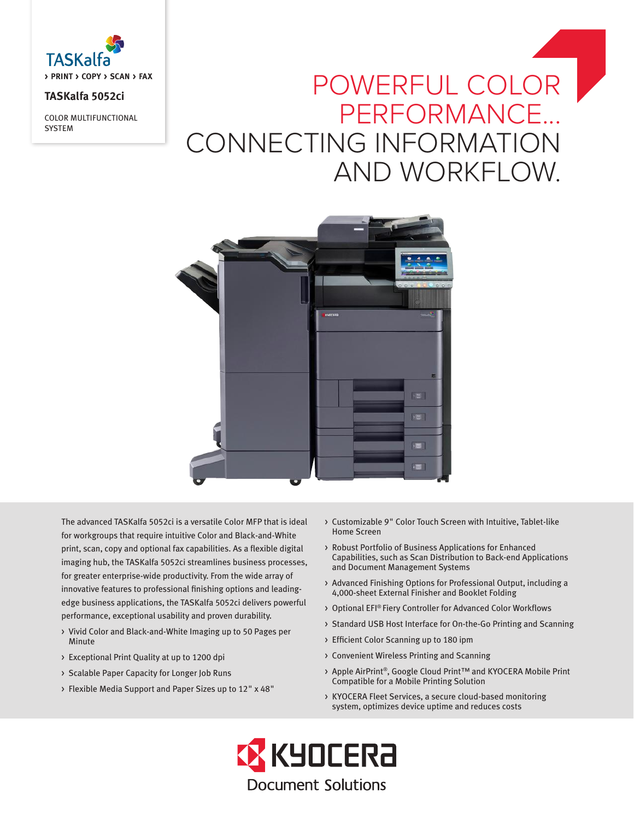

## **TASKalfa 5052ci**

COLOR MULTIFUNCTIONAL **SYSTEM** 

# POWERFUL COLOR PERFORMANCE... CONNECTING INFORMATION AND WORKFLOW.



The advanced TASKalfa 5052ci is a versatile Color MFP that is ideal for workgroups that require intuitive Color and Black-and-White print, scan, copy and optional fax capabilities. As a flexible digital imaging hub, the TASKalfa 5052ci streamlines business processes, for greater enterprise-wide productivity. From the wide array of innovative features to professional finishing options and leadingedge business applications, the TASKalfa 5052ci delivers powerful performance, exceptional usability and proven durability.

- > Vivid Color and Black-and-White Imaging up to 50 Pages per Minute
- > Exceptional Print Quality at up to 1200 dpi
- > Scalable Paper Capacity for Longer Job Runs
- > Flexible Media Support and Paper Sizes up to 12" x 48"
- > Customizable 9" Color Touch Screen with Intuitive, Tablet-like Home Screen
- > Robust Portfolio of Business Applications for Enhanced Capabilities, such as Scan Distribution to Back-end Applications and Document Management Systems
- > Advanced Finishing Options for Professional Output, including a 4,000-sheet External Finisher and Booklet Folding
- > Optional EFI® Fiery Controller for Advanced Color Workflows
- > Standard USB Host Interface for On-the-Go Printing and Scanning
- > Efficient Color Scanning up to 180 ipm
- > Convenient Wireless Printing and Scanning
- > Apple AirPrint®, Google Cloud Print™ and KYOCERA Mobile Print Compatible for a Mobile Printing Solution
- > KYOCERA Fleet Services, a secure cloud-based monitoring system, optimizes device uptime and reduces costs